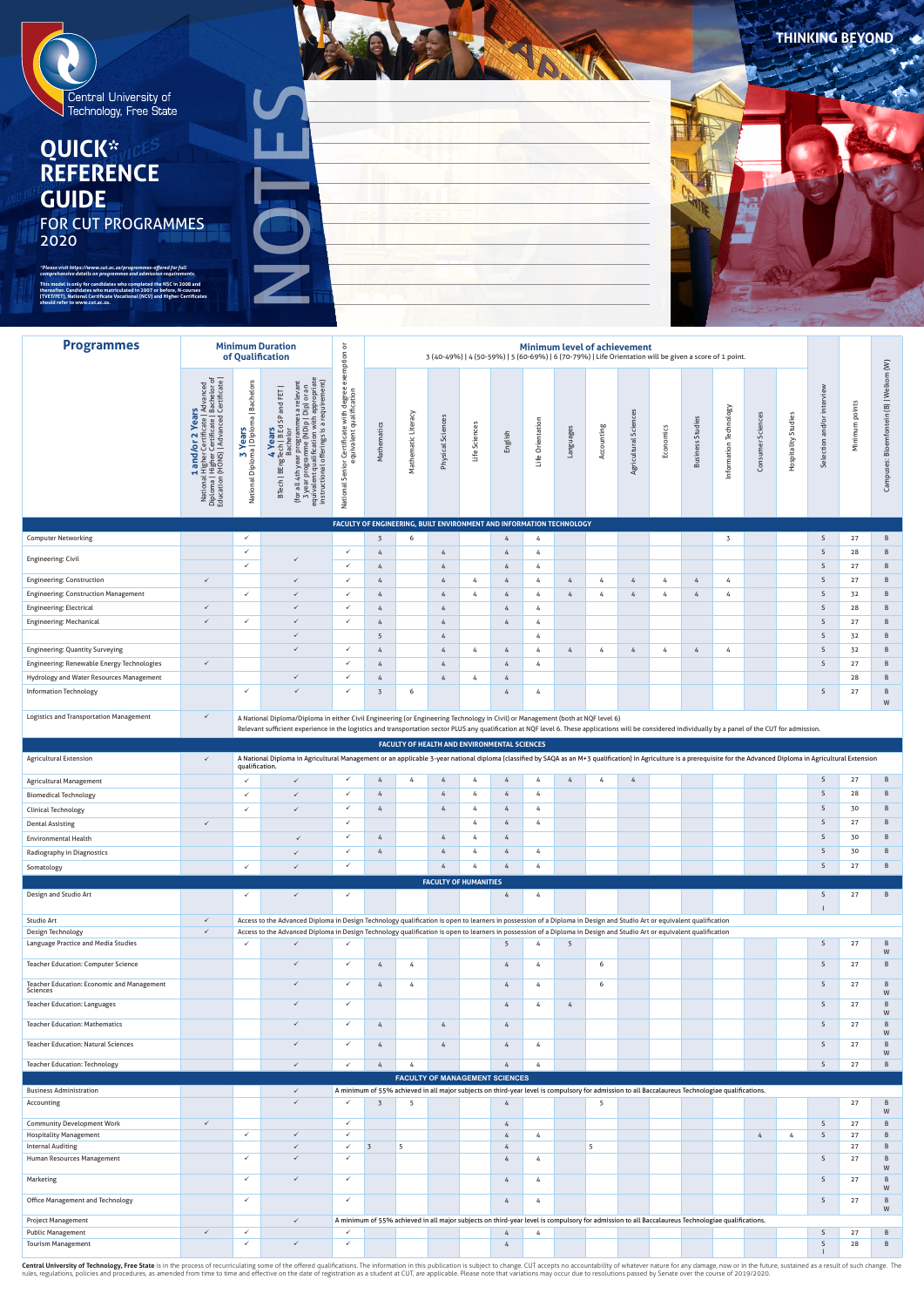

# **QUICK\* REFERENCE GUIDE** FOR CUT PROGRAMMES 2020

| <b>Programmes</b>                           |                                                                                                                                                            |                                                          | <b>Minimum Duration</b><br>of Qualification                                                                                                                                                                                                       | exemption or<br><b>Minimum level of achievement</b><br>3 (40-49%)   4 (50-59%)   5 (60-69%)   6 (70-79%)   Life Orientation will be given a score of 1 point. |                 |                                                                      |                   |               |         |                  |                |            |                       |           |                            |                        |                      |                        |                            |                   |                                         |
|---------------------------------------------|------------------------------------------------------------------------------------------------------------------------------------------------------------|----------------------------------------------------------|---------------------------------------------------------------------------------------------------------------------------------------------------------------------------------------------------------------------------------------------------|---------------------------------------------------------------------------------------------------------------------------------------------------------------|-----------------|----------------------------------------------------------------------|-------------------|---------------|---------|------------------|----------------|------------|-----------------------|-----------|----------------------------|------------------------|----------------------|------------------------|----------------------------|-------------------|-----------------------------------------|
|                                             | <b>1 and/or 2 Years</b><br>National Higher Certificate   Advanced<br>Diploma   Higher Certificate   Bachelor of<br>Education (HONS)   Advanced Certificate | 3 <b>Years</b><br>National Diploma   Diploma   Bachelors | (for all 4th year programmes a relevant<br>3 year programme (NDip   Dip) or an<br>equivalent qualification with appropriate<br>instructional offerings is a requirement)<br>and FET  <br>4 <b>Years</b><br>BTech   BEngTech   B Ed SP<br>Bachelor | National Senior Certificate with degree                                                                                                                       | Mathematics     | Mathematic Literacy                                                  | Physical Sciences | Life Sciences | English | Life Orientation | Languages      | Accounting | Agricultural Sciences | Economics | Studies<br><b>Business</b> | Information Technology | Sciences<br>Consumer | Studies<br>Hospitality | Selection and/or interview | points<br>Minimum | Campuses: Bloemfontein (B)   Welkom (W) |
|                                             |                                                                                                                                                            |                                                          |                                                                                                                                                                                                                                                   |                                                                                                                                                               |                 | FACULTY OF ENGINEERING, BUILT ENVIRONMENT AND INFORMATION TECHNOLOGY |                   |               |         |                  |                |            |                       |           |                            |                        |                      |                        |                            |                   |                                         |
| <b>Computer Networking</b>                  |                                                                                                                                                            | $\checkmark$                                             |                                                                                                                                                                                                                                                   |                                                                                                                                                               | $\overline{3}$  | 6                                                                    |                   |               | 4       | 4                |                |            |                       |           |                            | 3                      |                      |                        | S                          | 27                | B                                       |
|                                             |                                                                                                                                                            |                                                          |                                                                                                                                                                                                                                                   |                                                                                                                                                               |                 |                                                                      |                   |               |         |                  |                |            |                       |           |                            |                        |                      |                        |                            |                   |                                         |
|                                             |                                                                                                                                                            | $\checkmark$                                             |                                                                                                                                                                                                                                                   | $\checkmark$                                                                                                                                                  | $\overline{4}$  |                                                                      | $\overline{4}$    |               | 4       | 4                |                |            |                       |           |                            |                        |                      |                        | S                          | 28                | B                                       |
| <b>Engineering: Civil</b>                   |                                                                                                                                                            | $\checkmark$                                             |                                                                                                                                                                                                                                                   | $\checkmark$                                                                                                                                                  | 4               |                                                                      | 4                 |               | 4       | 4                |                |            |                       |           |                            |                        |                      |                        | S                          | 27                | B                                       |
| <b>Engineering: Construction</b>            | $\checkmark$                                                                                                                                               |                                                          | $\checkmark$                                                                                                                                                                                                                                      | $\checkmark$                                                                                                                                                  | $\overline{4}$  |                                                                      | 4                 | 4             | 4       | 4                | $\overline{4}$ | 4          | 4                     | 4         | $\overline{4}$             | 4                      |                      |                        | S                          | 27                | B                                       |
| <b>Engineering: Construction Management</b> |                                                                                                                                                            | $\checkmark$                                             | $\checkmark$                                                                                                                                                                                                                                      | $\checkmark$                                                                                                                                                  | $\overline{4}$  |                                                                      | 4                 | 4             | 4       | 4                | 4              | 4          | 4                     |           | $\overline{4}$             | 4                      |                      |                        | S                          | 32                | B                                       |
| Engineering: Electrical                     | $\checkmark$                                                                                                                                               |                                                          | $\checkmark$                                                                                                                                                                                                                                      | $\checkmark$                                                                                                                                                  | $\overline{4}$  |                                                                      | 4                 |               | 4       | 4                |                |            |                       |           |                            |                        |                      |                        | $\sf S$                    | 28                | B                                       |
| <b>Engineering: Mechanical</b>              | $\checkmark$                                                                                                                                               | $\checkmark$                                             | $\checkmark$                                                                                                                                                                                                                                      | $\checkmark$                                                                                                                                                  | 4               |                                                                      | $\overline{4}$    |               | 4       | 4                |                |            |                       |           |                            |                        |                      |                        | S                          | 27                | B                                       |
|                                             |                                                                                                                                                            |                                                          | $\checkmark$                                                                                                                                                                                                                                      |                                                                                                                                                               | $5\phantom{.0}$ |                                                                      | 4                 |               |         | 4                |                |            |                       |           |                            |                        |                      |                        | S                          | 32                | B                                       |
| <b>Engineering: Quantity Surveying</b>      |                                                                                                                                                            |                                                          | $\checkmark$                                                                                                                                                                                                                                      | $\checkmark$                                                                                                                                                  | 4               |                                                                      | $\overline{4}$    | 4             | 4       | 4                | $\overline{4}$ | 4          | 4                     | 4         | $\overline{4}$             | 4                      |                      |                        | S.                         | 32                | B                                       |
| Engineering: Renewable Energy Technologies  | $\checkmark$                                                                                                                                               |                                                          |                                                                                                                                                                                                                                                   | $\checkmark$                                                                                                                                                  | $\overline{4}$  |                                                                      | 4                 |               | 4       | 4                |                |            |                       |           |                            |                        |                      |                        | $\mathsf{S}$               | 27                | B                                       |
| Hydrology and Water Resources Management    |                                                                                                                                                            |                                                          | $\checkmark$                                                                                                                                                                                                                                      | $\checkmark$                                                                                                                                                  | 4               |                                                                      | 4                 | 4             | 4       |                  |                |            |                       |           |                            |                        |                      |                        |                            | 28                | B                                       |

**THINKING BEYOND** 

| Central University of<br>Technology, Free State<br><b>QUICK*</b><br><b>GUIDE</b><br><b>FOR CUT PROGRAMMES</b><br>2020<br>*Please visit https://www.cut.ac.za/programmes-offered for full<br>comprehensive details on programmes and admission requirements.<br>This model is only for candidates who completed the NSC in 2008 and<br>thereafter. Candidates who matriculated in 2007 or before, N-courses<br>(TVET/FET), National Certificate Vocational (NCV) and Higher Certificates<br>should refer to www.cut.ac.za. |                                                                                                    |                                                                       |                                                                                                                                                                                                                         |                                                                                  |                                  |                      |                            |                                                                                                                                                                                           |                                  |                      |                |               |                                     |        |                                |                          |               |                        |                            |                 |                                         |
|---------------------------------------------------------------------------------------------------------------------------------------------------------------------------------------------------------------------------------------------------------------------------------------------------------------------------------------------------------------------------------------------------------------------------------------------------------------------------------------------------------------------------|----------------------------------------------------------------------------------------------------|-----------------------------------------------------------------------|-------------------------------------------------------------------------------------------------------------------------------------------------------------------------------------------------------------------------|----------------------------------------------------------------------------------|----------------------------------|----------------------|----------------------------|-------------------------------------------------------------------------------------------------------------------------------------------------------------------------------------------|----------------------------------|----------------------|----------------|---------------|-------------------------------------|--------|--------------------------------|--------------------------|---------------|------------------------|----------------------------|-----------------|-----------------------------------------|
| <b>Programmes</b>                                                                                                                                                                                                                                                                                                                                                                                                                                                                                                         |                                                                                                    |                                                                       | <b>Minimum Duration</b>                                                                                                                                                                                                 |                                                                                  |                                  |                      |                            |                                                                                                                                                                                           |                                  |                      |                |               | <b>Minimum level of achievement</b> |        |                                |                          |               |                        |                            |                 |                                         |
|                                                                                                                                                                                                                                                                                                                                                                                                                                                                                                                           | National Higher Certifi<br>Diploma   Higher Certifi<br>Education (HONS)   Adva<br>d/or<br>$\sigma$ | <b>Bachelor</b><br><b>3 Yea</b><br>National Diploma   Di <sub>f</sub> | of Qualification<br><b>Year</b><br>(for all 4th year program)<br>3 year programme (NI<br>equivalent qualification<br>instructional offerings<br>BEngTech  <br>Bache<br>BTech                                            | ption or<br>degree<br>catio<br>Certifica<br>Senior <sup>1</sup><br>ω<br>National | Mathem                           | Litera<br>Mathematic | ciences<br>Ū<br>Physical ! | 3 (40-49%)   4 (50-59%)   5 (60-69%)   6 (70-79%)   Life Orientation will be given a score of 1 point.<br>nces<br>Life Scier                                                              | Englis                           | tation<br>Life Orien | ienguel        | ğη<br>Account | Science<br>Agricultural             | Econom | tudie<br>S.<br><b>Business</b> | echnology<br>Information | S<br>Consumer | Studies<br>Hospitality | $\frac{8}{9}$<br>Selection | points<br>Minin | ein (B)   Welkom (W)<br>Campuses: Bloem |
| <b>Computer Networking</b>                                                                                                                                                                                                                                                                                                                                                                                                                                                                                                |                                                                                                    | $\checkmark$                                                          |                                                                                                                                                                                                                         |                                                                                  | $\overline{3}$                   | 6                    |                            | FACULTY OF ENGINEERING, BUILT ENVIRONMENT AND INFORMATION TECHNOLOGY                                                                                                                      | 4                                | 4                    |                |               |                                     |        |                                | $\overline{3}$           |               |                        | S                          | 27              | B                                       |
| Engineering: Civil                                                                                                                                                                                                                                                                                                                                                                                                                                                                                                        |                                                                                                    | $\checkmark$                                                          | ✓                                                                                                                                                                                                                       | $\checkmark$                                                                     | $\overline{4}$                   |                      | 4                          |                                                                                                                                                                                           | $\overline{4}$                   | 4                    |                |               |                                     |        |                                |                          |               |                        | S                          | 28              | B                                       |
| <b>Engineering: Construction</b>                                                                                                                                                                                                                                                                                                                                                                                                                                                                                          | $\checkmark$                                                                                       | $\checkmark$                                                          | $\checkmark$                                                                                                                                                                                                            | $\checkmark$<br>$\checkmark$                                                     | $\overline{4}$<br>$\overline{4}$ |                      | 4<br>4                     | 4                                                                                                                                                                                         | 4<br>4                           | 4<br>4               | 4              | 4             | 4                                   | 4      | 4                              | $\overline{4}$           |               |                        | S<br>S                     | 27<br>27        | B<br>B                                  |
| <b>Engineering: Construction Management</b>                                                                                                                                                                                                                                                                                                                                                                                                                                                                               |                                                                                                    | $\checkmark$                                                          | $\checkmark$                                                                                                                                                                                                            | $\checkmark$                                                                     | $\overline{4}$                   |                      | 4                          | 4                                                                                                                                                                                         | $\overline{4}$                   | 4                    | 4              | 4             | 4                                   | 4      | 4                              | 4                        |               |                        | S                          | 32              | B                                       |
| Engineering: Electrical<br><b>Engineering: Mechanical</b>                                                                                                                                                                                                                                                                                                                                                                                                                                                                 | $\checkmark$<br>$\checkmark$                                                                       | $\checkmark$                                                          | $\checkmark$<br>$\checkmark$                                                                                                                                                                                            | $\checkmark$<br>$\checkmark$                                                     | $\overline{4}$<br>$\overline{4}$ |                      | 4<br>4                     |                                                                                                                                                                                           | 4<br>$\overline{4}$              | 4<br>4               |                |               |                                     |        |                                |                          |               |                        | S<br>S                     | 28<br>27        | B<br>B                                  |
|                                                                                                                                                                                                                                                                                                                                                                                                                                                                                                                           |                                                                                                    |                                                                       | ✓                                                                                                                                                                                                                       |                                                                                  | 5                                |                      | 4                          |                                                                                                                                                                                           |                                  | 4                    |                |               |                                     |        |                                |                          |               |                        | S                          | 32              | B                                       |
| <b>Engineering: Quantity Surveying</b><br>Engineering: Renewable Energy Technologies                                                                                                                                                                                                                                                                                                                                                                                                                                      | $\checkmark$                                                                                       |                                                                       | ✓                                                                                                                                                                                                                       | $\checkmark$<br>$\checkmark$                                                     | $\overline{4}$<br>$\overline{4}$ |                      | 4<br>4                     | $\overline{4}$                                                                                                                                                                            | 4<br>$\overline{4}$              | 4<br>4               | $\overline{4}$ | 4             | 4                                   | 4      | 4                              | 4                        |               |                        | S<br>S                     | 32<br>27        | B<br>B                                  |
| Hydrology and Water Resources Management                                                                                                                                                                                                                                                                                                                                                                                                                                                                                  |                                                                                                    |                                                                       | $\checkmark$                                                                                                                                                                                                            | $\checkmark$                                                                     | $\overline{4}$                   |                      | 4                          | 4                                                                                                                                                                                         | $\overline{4}$                   |                      |                |               |                                     |        |                                |                          |               |                        |                            | 28              | B                                       |
| <b>Information Technology</b>                                                                                                                                                                                                                                                                                                                                                                                                                                                                                             |                                                                                                    | $\checkmark$                                                          | $\checkmark$                                                                                                                                                                                                            | $\checkmark$                                                                     | 3                                | 6                    |                            |                                                                                                                                                                                           |                                  | 4                    |                |               |                                     |        |                                |                          |               |                        | S                          | 27              | B<br>W                                  |
| Logistics and Transportation Management                                                                                                                                                                                                                                                                                                                                                                                                                                                                                   | $\checkmark$                                                                                       |                                                                       | A National Diploma/Diploma in either Civil Engineering (or Engineering Technology in Civil) or Management (both at NQF level 6)                                                                                         |                                                                                  |                                  |                      |                            |                                                                                                                                                                                           |                                  |                      |                |               |                                     |        |                                |                          |               |                        |                            |                 |                                         |
|                                                                                                                                                                                                                                                                                                                                                                                                                                                                                                                           |                                                                                                    |                                                                       | Relevant sufficient experience in the logistics and transportation sector PLUS any qualification at NQF level 6. These applications will be considered individually by a panel of the CUT for admission.                |                                                                                  |                                  |                      |                            | FACULTY OF HEALTH AND ENVIRONMENTAL SCIENCES                                                                                                                                              |                                  |                      |                |               |                                     |        |                                |                          |               |                        |                            |                 |                                         |
| <b>Agricultural Extension</b>                                                                                                                                                                                                                                                                                                                                                                                                                                                                                             | $\checkmark$                                                                                       |                                                                       | A National Diploma in Agricultural Management or an applicable 3-year national diploma (classified by SAQA as an M+3 qualification) in Agriculture is a prerequisite for the Advanced Diploma in Agricultural Extension |                                                                                  |                                  |                      |                            |                                                                                                                                                                                           |                                  |                      |                |               |                                     |        |                                |                          |               |                        |                            |                 |                                         |
| <b>Agricultural Management</b>                                                                                                                                                                                                                                                                                                                                                                                                                                                                                            |                                                                                                    | qualification.                                                        | ✓                                                                                                                                                                                                                       |                                                                                  |                                  |                      |                            |                                                                                                                                                                                           |                                  |                      |                |               | 4                                   |        |                                |                          |               |                        | S.                         | 27              | B                                       |
| <b>Biomedical Technology</b>                                                                                                                                                                                                                                                                                                                                                                                                                                                                                              |                                                                                                    | $\checkmark$                                                          | $\checkmark$                                                                                                                                                                                                            |                                                                                  | $\overline{4}$                   |                      | 4                          | $\overline{4}$                                                                                                                                                                            | $\overline{4}$                   | 4                    |                |               |                                     |        |                                |                          |               |                        | $\mathsf{S}$               | 28              | B                                       |
| <b>Clinical Technology</b><br><b>Dental Assisting</b>                                                                                                                                                                                                                                                                                                                                                                                                                                                                     | $\checkmark$                                                                                       | $\checkmark$                                                          | $\checkmark$                                                                                                                                                                                                            | $\checkmark$<br>$\checkmark$                                                     | $\overline{4}$                   |                      | 4                          | 4<br>$\overline{4}$                                                                                                                                                                       | $\overline{4}$<br>$\overline{4}$ | 4<br>4               |                |               |                                     |        |                                |                          |               |                        | S<br>S                     | 30<br>27        | B<br>B                                  |
| <b>Environmental Health</b>                                                                                                                                                                                                                                                                                                                                                                                                                                                                                               |                                                                                                    |                                                                       | $\checkmark$                                                                                                                                                                                                            | $\checkmark$                                                                     | $\overline{4}$                   |                      | 4                          | 4                                                                                                                                                                                         | $\overline{4}$                   |                      |                |               |                                     |        |                                |                          |               |                        | S                          | 30              | -B                                      |
| Radiography in Diagnostics                                                                                                                                                                                                                                                                                                                                                                                                                                                                                                |                                                                                                    | $\checkmark$                                                          | $\checkmark$<br>$\checkmark$                                                                                                                                                                                            | $\checkmark$<br>$\checkmark$                                                     | $\overline{4}$                   |                      | 4<br>4                     | 4                                                                                                                                                                                         | $\overline{4}$<br>4              | 4<br>4               |                |               |                                     |        |                                |                          |               |                        | S.<br>S.                   | 30<br>27        | B<br>B                                  |
| Somatology                                                                                                                                                                                                                                                                                                                                                                                                                                                                                                                |                                                                                                    |                                                                       |                                                                                                                                                                                                                         |                                                                                  |                                  |                      |                            | <b>FACULTY OF HUMANITIES</b>                                                                                                                                                              |                                  |                      |                |               |                                     |        |                                |                          |               |                        |                            |                 |                                         |
| Design and Studio Art                                                                                                                                                                                                                                                                                                                                                                                                                                                                                                     |                                                                                                    | $\checkmark$                                                          | $\checkmark$                                                                                                                                                                                                            |                                                                                  |                                  |                      |                            |                                                                                                                                                                                           | $\overline{4}$                   | 4                    |                |               |                                     |        |                                |                          |               |                        | S.                         | 27              |                                         |
| Studio Art                                                                                                                                                                                                                                                                                                                                                                                                                                                                                                                | $\checkmark$                                                                                       |                                                                       | Access to the Advanced Diploma in Design Technology qualification is open to learners in possession of a Diploma in Design and Studio Art or equivalent qualification                                                   |                                                                                  |                                  |                      |                            |                                                                                                                                                                                           |                                  |                      |                |               |                                     |        |                                |                          |               |                        |                            |                 |                                         |
| Design Technology<br>Language Practice and Media Studies                                                                                                                                                                                                                                                                                                                                                                                                                                                                  | $\checkmark$                                                                                       | ✓                                                                     | Access to the Advanced Diploma in Design Technology qualification is open to learners in possession of a Diploma in Design and Studio Art or equivalent qualification<br>✓                                              | $\checkmark$                                                                     |                                  |                      |                            |                                                                                                                                                                                           | 5                                |                      | 5              |               |                                     |        |                                |                          |               |                        | S                          | 27              |                                         |
| <b>Teacher Education: Computer Science</b>                                                                                                                                                                                                                                                                                                                                                                                                                                                                                |                                                                                                    |                                                                       | $\checkmark$                                                                                                                                                                                                            | $\checkmark$                                                                     | $\overline{4}$                   | 4                    |                            |                                                                                                                                                                                           | $\overline{4}$                   | 4                    |                | 6             |                                     |        |                                |                          |               |                        | S                          | 27              | W<br>B                                  |
| <b>Teacher Education: Economic and Management</b><br>Sciences                                                                                                                                                                                                                                                                                                                                                                                                                                                             |                                                                                                    |                                                                       | $\checkmark$                                                                                                                                                                                                            | $\checkmark$                                                                     | $\overline{4}$                   | 4                    |                            |                                                                                                                                                                                           | 4                                | 4                    |                | 6             |                                     |        |                                |                          |               |                        | $\mathsf{S}$               | 27              | B                                       |
| <b>Teacher Education: Languages</b>                                                                                                                                                                                                                                                                                                                                                                                                                                                                                       |                                                                                                    |                                                                       | ✓                                                                                                                                                                                                                       | $\checkmark$                                                                     |                                  |                      |                            |                                                                                                                                                                                           | $\overline{4}$                   | 4                    | $\overline{4}$ |               |                                     |        |                                |                          |               |                        | S                          | 27              | W                                       |
| <b>Teacher Education: Mathematics</b>                                                                                                                                                                                                                                                                                                                                                                                                                                                                                     |                                                                                                    |                                                                       | $\checkmark$                                                                                                                                                                                                            | $\checkmark$                                                                     | $\overline{4}$                   |                      | 4                          |                                                                                                                                                                                           | $\overline{4}$                   |                      |                |               |                                     |        |                                |                          |               |                        | S.                         | 27              | W<br>B                                  |
| <b>Teacher Education: Natural Sciences</b>                                                                                                                                                                                                                                                                                                                                                                                                                                                                                |                                                                                                    |                                                                       | $\checkmark$                                                                                                                                                                                                            | $\checkmark$                                                                     | $\overline{4}$                   |                      | 4                          |                                                                                                                                                                                           | $\overline{4}$                   | 4                    |                |               |                                     |        |                                |                          |               |                        | S.                         | 27              | W                                       |
| <b>Teacher Education: Technology</b>                                                                                                                                                                                                                                                                                                                                                                                                                                                                                      |                                                                                                    |                                                                       | ✓                                                                                                                                                                                                                       |                                                                                  | $\overline{4}$                   |                      |                            |                                                                                                                                                                                           |                                  |                      |                |               |                                     |        |                                |                          |               |                        | $\mathsf{S}$               | 27              | W<br>B                                  |
| <b>Business Administration</b>                                                                                                                                                                                                                                                                                                                                                                                                                                                                                            |                                                                                                    |                                                                       | $\checkmark$                                                                                                                                                                                                            |                                                                                  |                                  |                      |                            | <b>FACULTY OF MANAGEMENT SCIENCES</b><br>A minimum of 55% achieved in all major subjects on third-year level is compulsory for admission to all Baccalaureus Technologiae qualifications. |                                  |                      |                |               |                                     |        |                                |                          |               |                        |                            |                 |                                         |
| Accounting                                                                                                                                                                                                                                                                                                                                                                                                                                                                                                                |                                                                                                    |                                                                       | $\checkmark$                                                                                                                                                                                                            |                                                                                  | $\overline{3}$                   | 5                    |                            |                                                                                                                                                                                           | $\overline{4}$                   |                      |                | -5            |                                     |        |                                |                          |               |                        |                            | 27              | -B                                      |
| <b>Community Development Work</b>                                                                                                                                                                                                                                                                                                                                                                                                                                                                                         | $\checkmark$                                                                                       |                                                                       |                                                                                                                                                                                                                         |                                                                                  |                                  |                      |                            |                                                                                                                                                                                           | 4                                |                      |                |               |                                     |        |                                |                          |               |                        | <sub>S</sub>               | 27              |                                         |
| <b>Hospitality Management</b><br><b>Internal Auditing</b>                                                                                                                                                                                                                                                                                                                                                                                                                                                                 |                                                                                                    | $\checkmark$                                                          | $\sqrt{2}$<br>$\checkmark$                                                                                                                                                                                              | $\checkmark$<br>$\checkmark$                                                     | $\overline{3}$                   | 5                    |                            |                                                                                                                                                                                           | 4                                | $\overline{4}$       |                | 5             |                                     |        |                                |                          | $\sim$ $\sim$ | $\overline{ }$         | S                          | 27<br>27        |                                         |
| Human Resources Management                                                                                                                                                                                                                                                                                                                                                                                                                                                                                                |                                                                                                    | $\checkmark$                                                          | $\checkmark$                                                                                                                                                                                                            | $\checkmark$                                                                     |                                  |                      |                            |                                                                                                                                                                                           | $\overline{4}$                   | 4                    |                |               |                                     |        |                                |                          |               |                        | S                          | 27              | W                                       |
| Marketing                                                                                                                                                                                                                                                                                                                                                                                                                                                                                                                 |                                                                                                    | $\checkmark$                                                          | $\checkmark$                                                                                                                                                                                                            | $\checkmark$                                                                     |                                  |                      |                            |                                                                                                                                                                                           | $\overline{4}$                   | 4                    |                |               |                                     |        |                                |                          |               |                        | S                          | 27              | B<br>W                                  |
| <b>Office Management and Technology</b>                                                                                                                                                                                                                                                                                                                                                                                                                                                                                   |                                                                                                    | $\checkmark$                                                          |                                                                                                                                                                                                                         | $\checkmark$                                                                     |                                  |                      |                            |                                                                                                                                                                                           | 4                                | $\overline{4}$       |                |               |                                     |        |                                |                          |               |                        | $\mathsf{S}$               | 27              | B<br>${\sf W}$                          |
| Project Management<br><b>Public Management</b>                                                                                                                                                                                                                                                                                                                                                                                                                                                                            | $\checkmark$                                                                                       | $\checkmark$                                                          | $\checkmark$                                                                                                                                                                                                            |                                                                                  |                                  |                      |                            | A minimum of 55% achieved in all major subjects on third-year level is compulsory for admission to all Baccalaureus Technologiae qualifications.                                          | 4                                |                      |                |               |                                     |        |                                |                          |               |                        | <sub>S</sub>               | 27              | B                                       |
| <b>Tourism Management</b>                                                                                                                                                                                                                                                                                                                                                                                                                                                                                                 |                                                                                                    | $\checkmark$                                                          | $\checkmark$                                                                                                                                                                                                            | $\checkmark$                                                                     |                                  |                      |                            |                                                                                                                                                                                           | $\overline{4}$                   |                      |                |               |                                     |        |                                |                          |               |                        | S                          | 28              | B                                       |
|                                                                                                                                                                                                                                                                                                                                                                                                                                                                                                                           |                                                                                                    |                                                                       |                                                                                                                                                                                                                         |                                                                                  |                                  |                      |                            |                                                                                                                                                                                           |                                  |                      |                |               |                                     |        |                                |                          |               |                        |                            |                 |                                         |

Central University of Technology, Free State is in the process of recurriculating some of the offered qualifications. The information in this publication is subject to change. CUT accepts no accountability of whatever natu